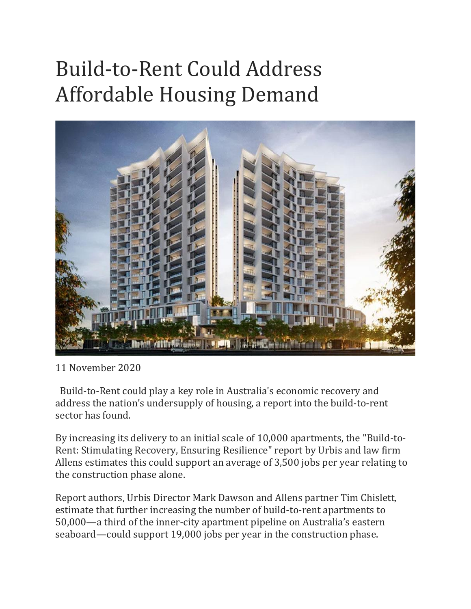## Build-to-Rent Could Address Affordable Housing Demand



11 November 2020

 Build-to-Rent could play a key role in Australia's economic recovery and address the nation's undersupply of housing, a report into the build-to-rent sector has found.

By increasing its delivery to an initial scale of 10,000 apartments, the "Build-to-Rent: Stimulating Recovery, Ensuring Resilience" report by Urbis and law firm Allens estimates this could support an average of 3,500 jobs per year relating to the construction phase alone.

Report authors, Urbis Director Mark Dawson and Allens partner Tim Chislett, estimate that further increasing the number of build-to-rent apartments to 50,000—a third of the inner-city apartment pipeline on Australia's eastern seaboard—could support 19,000 jobs per year in the construction phase.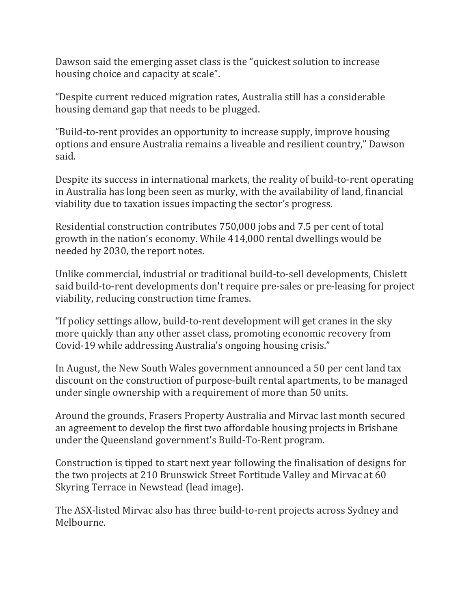Dawson said the emerging asset class is the "quickest solution to increase housing choice and capacity at scale".

"Despite current reduced migration rates, Australia still has a considerable housing demand gap that needs to be plugged.

"Build-to-rent provides an opportunity to increase supply, improve housing options and ensure Australia remains a liveable and resilient country," Dawson said.

Despite its success in international markets, the reality of build-to-rent operating in Australia has long been seen as murky, with the availability of land, financial viability due to taxation issues impacting the sector's progress.

Residential construction contributes 750,000 jobs and 7.5 per cent of total growth in the nation's economy. While 414,000 rental dwellings would be needed by 2030, the report notes.

Unlike commercial, industrial or traditional build-to-sell developments, Chislett said build-to-rent developments don't require pre-sales or pre-leasing for project viability, reducing construction time frames.

"If policy settings allow, build-to-rent development will get cranes in the sky more quickly than any other asset class, promoting economic recovery from Covid-19 while addressing Australia's ongoing housing crisis."

In August, the New South Wales government announced a 50 per cent land tax discount on the construction of purpose-built rental apartments, to be managed under single ownership with a requirement of more than 50 units.

Around the grounds, Frasers Property Australia and Mirvac last month secured an agreement to develop the first two affordable housing projects in Brisbane under the Queensland government's Build-To-Rent program.

Construction is tipped to start next year following the finalisation of designs for the two projects at 210 Brunswick Street Fortitude Valley and Mirvac at 60 Skyring Terrace in Newstead (lead image).

The ASX-listed Mirvac also has three build-to-rent projects across Sydney and Melbourne.